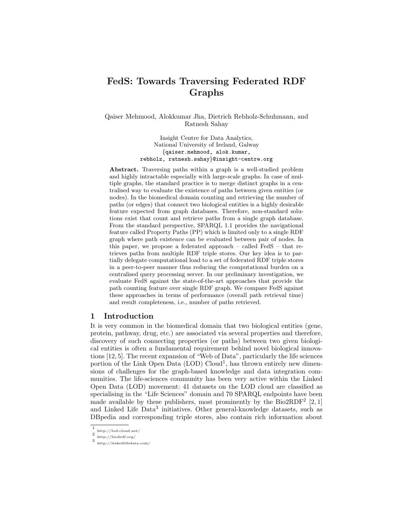# FedS: Towards Traversing Federated RDF Graphs

Qaiser Mehmood, Alokkumar Jha, Dietrich Rebholz-Schuhmann, and Ratnesh Sahay

> Insight Centre for Data Analytics, National University of Ireland, Galway {qaiser.mehmood, alok.kumar, rebholz, ratnesh.sahay}@insight-centre.org

Abstract. Traversing paths within a graph is a well-studied problem and highly intractable especially with large-scale graphs. In case of multiple graphs, the standard practice is to merge distinct graphs in a centralised way to evaluate the existence of paths between given entities (or nodes). In the biomedical domain counting and retrieving the number of paths (or edges) that connect two biological entities is a highly desirable feature expected from graph databases. Therefore, non-standard solutions exist that count and retrieve paths from a single graph database. From the standard perspective, SPARQL 1.1 provides the navigational feature called Property Paths (PP) which is limited only to a single RDF graph where path existence can be evaluated between pair of nodes. In this paper, we propose a federated approach – called FedS – that retrieves paths from multiple RDF triple stores. Our key idea is to partially delegate computational load to a set of federated RDF triple stores in a peer-to-peer manner thus reducing the computational burden on a centralised query processing server. In our preliminary investigation, we evaluate FedS against the state-of-the-art approaches that provide the path counting feature over single RDF graph. We compare FedS against these approaches in terms of performance (overall path retrieval time) and result completeness, i.e., number of paths retrieved.

### 1 Introduction

It is very common in the biomedical domain that two biological entities (gene, protein, pathway, drug, etc.) are associated via several properties and therefore, discovery of such connecting properties (or paths) between two given biological entities is often a fundamental requirement behind novel biological innovations [12, 5]. The recent expansion of "Web of Data", particularly the life sciences portion of the Link Open Data (LOD) Cloud<sup>1</sup>, has thrown entirely new dimensions of challenges for the graph-based knowledge and data integration communities. The life-sciences community has been very active within the Linked Open Data (LOD) movement: 41 datasets on the LOD cloud are classified as specialising in the "Life Sciences" domain and 70 SPARQL endpoints have been made available by these publishers, most prominently by the  $Bio2RDF<sup>2</sup> [2, 1]$ and Linked Life Data<sup>3</sup> initiatives. Other general-knowledge datasets, such as DBpedia and corresponding triple stores, also contain rich information about

<sup>1</sup> http://lod-cloud.net/

<sup>2</sup> http://bio2rdf.org/

<sup>3</sup> http://linkedlifedata.com/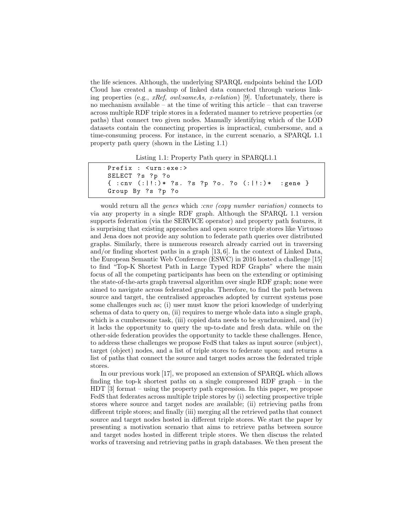the life sciences. Although, the underlying SPARQL endpoints behind the LOD Cloud has created a mashup of linked data connected through various linking properties (e.g.,  $xRef$ , owl:sameAs, x-relation) [9]. Unfortunately, there is no mechanism available – at the time of writing this article – that can traverse across multiple RDF triple stores in a federated manner to retrieve properties (or paths) that connect two given nodes. Manually identifying which of the LOD datasets contain the connecting properties is impractical, cumbersome, and a time-consuming process. For instance, in the current scenario, a SPARQL 1.1 property path query (shown in the Listing 1.1)

Listing 1.1: Property Path query in SPARQL1.1

```
Prefix : <urn:exe:>
SELECT ?s ?p ?o
{ : env (::|::) * ?s. ?s ?p ?o. ?o (::|::) * :gene }Group By ?s ?p ?o
```
would return all the *genes* which :*cnv* (copy number variation) connects to via any property in a single RDF graph. Although the SPARQL 1.1 version supports federation (via the SERVICE operator) and property path features, it is surprising that existing approaches and open source triple stores like Virtuoso and Jena does not provide any solution to federate path queries over distributed graphs. Similarly, there is numerous research already carried out in traversing and/or finding shortest paths in a graph [13, 6]. In the context of Linked Data, the European Semantic Web Conference (ESWC) in 2016 hosted a challenge [15] to find "Top-K Shortest Path in Large Typed RDF Graphs" where the main focus of all the competing participants has been on the extending or optimising the state-of-the-arts graph traversal algorithm over single RDF graph; none were aimed to navigate across federated graphs. Therefore, to find the path between source and target, the centralised approaches adopted by current systems pose some challenges such as; (i) user must know the priori knowledge of underlying schema of data to query on, (ii) requires to merge whole data into a single graph, which is a cumbersome task, (iii) copied data needs to be synchronized, and (iv) it lacks the opportunity to query the up-to-date and fresh data. while on the other-side federation provides the opportunity to tackle these challenges. Hence, to address these challenges we propose FedS that takes as input source (subject), target (object) nodes, and a list of triple stores to federate upon; and returns a list of paths that connect the source and target nodes across the federated triple stores.

In our previous work [17], we proposed an extension of SPARQL which allows finding the top-k shortest paths on a single compressed RDF graph – in the HDT [3] format – using the property path expression. In this paper, we propose FedS that federates across multiple triple stores by (i) selecting prospective triple stores where source and target nodes are available; (ii) retrieving paths from different triple stores; and finally (iii) merging all the retrieved paths that connect source and target nodes hosted in different triple stores. We start the paper by presenting a motivation scenario that aims to retrieve paths between source and target nodes hosted in different triple stores. We then discuss the related works of traversing and retrieving paths in graph databases. We then present the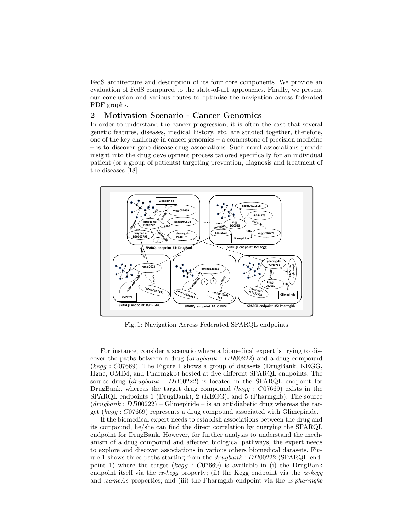FedS architecture and description of its four core components. We provide an evaluation of FedS compared to the state-of-art approaches. Finally, we present our conclusion and various routes to optimise the navigation across federated RDF graphs.

## 2 Motivation Scenario - Cancer Genomics

In order to understand the cancer progression, it is often the case that several genetic features, diseases, medical history, etc. are studied together, therefore, one of the key challenge in cancer genomics – a cornerstone of precision medicine – is to discover gene-disease-drug associations. Such novel associations provide insight into the drug development process tailored specifically for an individual patient (or a group of patients) targeting prevention, diagnosis and treatment of the diseases [18].



Fig. 1: Navigation Across Federated SPARQL endpoints

For instance, consider a scenario where a biomedical expert is trying to discover the paths between a drug  $(druqbank : DB00222)$  and a drug compound (kegg :  $C07669$ ). The Figure 1 shows a group of datasets (DrugBank, KEGG, Hgnc, OMIM, and Pharmgkb) hosted at five different SPARQL endpoints. The source drug (drugbank : DB00222) is located in the SPARQL endpoint for DrugBank, whereas the target drug compound ( $keqq$ :  $C07669$ ) exists in the SPARQL endpoints 1 (DrugBank), 2 (KEGG), and 5 (Pharmgkb). The source  $(drugbank : DB00222) - Glimepiride - is an antidiabetic drug whereas the tar$ get (kegg : C07669) represents a drug compound associated with Glimepiride.

If the biomedical expert needs to establish associations between the drug and its compound, he/she can find the direct correlation by querying the SPARQL endpoint for DrugBank. However, for further analysis to understand the mechanism of a drug compound and affected biological pathways, the expert needs to explore and discover associations in various others biomedical datasets. Figure 1 shows three paths starting from the drugbank : DB00222 (SPARQL endpoint 1) where the target (kegg :  $C07669$ ) is available in (i) the DrugBank endpoint itself via the  $:x$ -kegg property; (ii) the Kegg endpoint via the  $:x$ -kegg and :sameAs properties; and (iii) the Pharmgkb endpoint via the :x-pharmgkb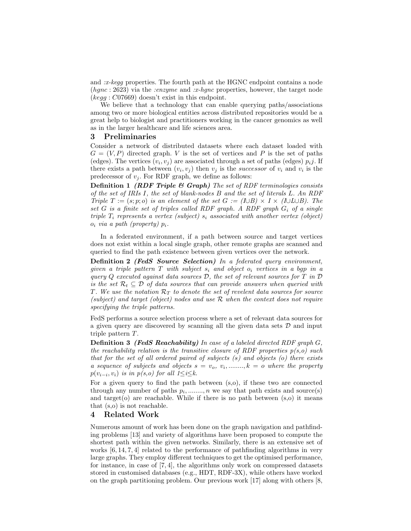and :x-kegg properties. The fourth path at the HGNC endpoint contains a node  $(hqnc : 2623)$  via the *:enzyme* and *:x-hqnc* properties, however, the target node  $(kega: C07669)$  doesn't exist in this endpoint.

We believe that a technology that can enable querying paths/associations among two or more biological entities across distributed repositories would be a great help to biologist and practitioners working in the cancer genomics as well as in the larger healthcare and life sciences area.

## 3 Preliminaries

Consider a network of distributed datasets where each dataset loaded with  $G = (V, P)$  directed graph. V is the set of vertices and P is the set of paths (edges). The vertices  $(v_i, v_j)$  are associated through a set of paths (edges)  $p_i j$ . If there exists a path between  $(v_i, v_j)$  then  $v_j$  is the *successor* of  $v_i$  and  $v_i$  is the predecessor of  $v_i$ . For RDF graph, we define as follows:

Definition 1 (RDF Triple & Graph) The set of RDF terminologies consists of the set of IRIs I, the set of blank-nodes B and the set of literals L. An RDF Triple  $T := (s; p; o)$  is an element of the set  $G := (I \cup B) \times I \times (I \cup L \cup B)$ . The set G is a finite set of triples called RDF graph. A RDF graph  $G_i$  of a single triple  $T_i$  represents a vertex (subject)  $s_i$  associated with another vertex (object)  $o_i$  via a path (property)  $p_i$ .

In a federated environment, if a path between source and target vertices does not exist within a local single graph, other remote graphs are scanned and queried to find the path existence between given vertices over the network.

Definition 2 (FedS Source Selection) In a federated query environment, given a triple pattern  $T$  with subject  $s_i$  and object  $o_i$  vertices in a bgp in a query  $Q$  executed against data sources  $D$ , the set of relevant sources for  $T$  in  $D$ is the set  $\mathcal{R}_t \subseteq \mathcal{D}$  of data sources that can provide answers when queried with T. We use the notation  $\mathcal{R}_T$  to denote the set of revelent data sources for source (subject) and target (object) nodes and use  $R$  when the context does not require specifying the triple patterns.

FedS performs a source selection process where a set of relevant data sources for a given query are discovered by scanning all the given data sets  $D$  and input triple pattern T.

**Definition 3** (**FedS Reachability**) In case of a labeled directed RDF graph  $G$ , the reachability relation is the transitive closure of RDF properties  $p(s, o)$  such that for the set of all ordered paired of subjects (s) and objects (o) there exists a sequence of subjects and objects  $s = v_0, v_1, \dots, k = o$  where the property  $p(v_{i-i}, v_i)$  is in  $p(s, o)$  for all  $1 \le i \le k$ .

For a given query to find the path between (s,o), if these two are connected through any number of paths  $p_i, \ldots, n$  we say that path exists and source(s) and target $(o)$  are reachable. While if there is no path between  $(s, o)$  it means that (s,o) is not reachable.

### 4 Related Work

Numerous amount of work has been done on the graph navigation and pathfinding problems [13] and variety of algorithms have been proposed to compute the shortest path within the given networks. Similarly, there is an extensive set of works [6, 14, 7, 4] related to the performance of pathfinding algorithms in very large graphs. They employ different techniques to get the optimised performance, for instance, in case of  $[7, 4]$ , the algorithms only work on compressed datasets stored in customised databases (e.g., HDT, RDF-3X), while others have worked on the graph partitioning problem. Our previous work [17] along with others [8,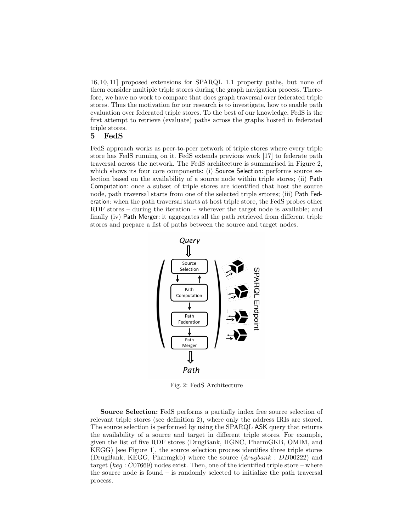16, 10, 11] proposed extensions for SPARQL 1.1 property paths, but none of them consider multiple triple stores during the graph navigation process. Therefore, we have no work to compare that does graph traversal over federated triple stores. Thus the motivation for our research is to investigate, how to enable path evaluation over federated triple stores. To the best of our knowledge, FedS is the first attempt to retrieve (evaluate) paths across the graphs hosted in federated triple stores.

# 5 FedS

FedS approach works as peer-to-peer network of triple stores where every triple store has FedS running on it. FedS extends previous work [17] to federate path traversal across the network. The FedS architecture is summarised in Figure 2, which shows its four core components: (i) Source Selection: performs source selection based on the availability of a source node within triple stores; (ii) Path Computation: once a subset of triple stores are identified that host the source node, path traversal starts from one of the selected triple srtores; (iii) Path Federation: when the path traversal starts at host triple store, the FedS probes other RDF stores – during the iteration – wherever the target node is available; and finally (iv) Path Merger: it aggregates all the path retrieved from different triple stores and prepare a list of paths between the source and target nodes.



Fig. 2: FedS Architecture

Source Selection: FedS performs a partially index free source selection of relevant triple stores (see definition 2), where only the address IRIs are stored. The source selection is performed by using the SPARQL ASK query that returns the availability of a source and target in different triple stores. For example, given the list of five RDF stores (DrugBank, HGNC, PharmGKB, OMIM, and KEGG) [see Figure 1], the source selection process identifies three triple stores (DrugBank, KEGG, Pharmgkb) where the source (drugbank : DB00222) and target  $(\text{ke}g : \text{C}07669)$  nodes exist. Then, one of the identified triple store – where the source node is found  $-$  is randomly selected to initialize the path traversal process.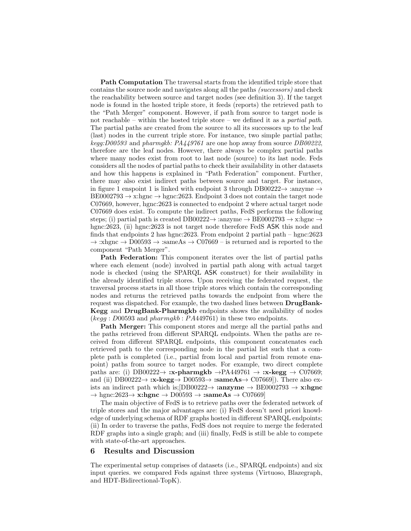Path Computation The traversal starts from the identified triple store that contains the source node and navigates along all the paths (successors) and check the reachability between source and target nodes (see definition 3). If the target node is found in the hosted triple store, it feeds (reports) the retrieved path to the "Path Merger" component. However, if path from source to target node is not reachable – within the hosted triple store – we defined it as a *partial path*. The partial paths are created from the source to all its successors up to the leaf (last) nodes in the current triple store. For instance, two simple partial paths; kegg:D00593 and pharmgkb: PA449761 are one hop away from source DB00222, therefore are the leaf nodes. However, there always be complex partial paths where many nodes exist from root to last node (source) to its last node. Feds considers all the nodes of partial paths to check their availability in other datasets and how this happens is explained in "Path Federation" component. Further, there may also exist indirect paths between source and target. For instance, in figure 1 enspoint 1 is linked with endpoint 3 through DB00222 $\rightarrow$  :anzyme  $\rightarrow$  $B E 0002793 \rightarrow x:\text{hgnc} \rightarrow \text{hgnc}:2623.$  Endpoint 3 does not contain the target node C07669, however, hgnc:2623 is connected to endpoint 2 where actual target node C07669 does exist. To compute the indirect paths, FedS performs the following steps; (i) partial path is created DB00222 $\rightarrow$  :anzyme  $\rightarrow$  BE0002793  $\rightarrow$  x:hgnc  $\rightarrow$ hgnc:2623, (ii) hgnc:2623 is not target node therefore FedS ASK this node and finds that endpoints 2 has hgnc:2623. From endpoint 2 partial path – hgnc:2623  $\rightarrow$ :xhgnc  $\rightarrow$  D00593  $\rightarrow$ :sameAs  $\rightarrow$  C07669 – is returned and is reported to the component "Path Merger".

Path Federation: This component iterates over the list of partial paths where each element (node) involved in partial path along with actual target node is checked (using the SPARQL ASK construct) for their availability in the already identified triple stores. Upon receiving the federated request, the traversal process starts in all those triple stores which contain the corresponding nodes and returns the retrieved paths towards the endpoint from where the request was dispatched. For example, the two dashed lines between DrugBank-Kegg and DrugBank-Pharmgkb endpoints shows the availability of nodes  $(key: D00593$  and  $pharmgkb: PA449761)$  in these two endpoints.

Path Merger: This component stores and merge all the partial paths and the paths retrieved from different SPARQL endpoints. When the paths are received from different SPARQL endpoints, this component concatenates each retrieved path to the corresponding node in the partial list such that a complete path is completed (i.e., partial from local and partial from remote enapoint) paths from source to target nodes. For example, two direct complete paths are: (i) DB00222 $\rightarrow$  :x-pharmgkb  $\rightarrow$ PA449761  $\rightarrow$  :x-kegg  $\rightarrow$  C07669; and (ii) DB00222 $\rightarrow$  :x-kegg $\rightarrow$  D00593 $\rightarrow$  :sameAs $\rightarrow$  C07669]). There also exists an indirect path which is;[DB00222 $\rightarrow$  :anzyme  $\rightarrow$  BE0002793  $\rightarrow$  x:hgnc  $\rightarrow$  hgnc:2623 $\rightarrow$  x:hgnc  $\rightarrow$  D00593  $\rightarrow$  :sameAs  $\rightarrow$  C07669]

The main objective of FedS is to retrieve paths over the federated network of triple stores and the major advantages are: (i) FedS doesn't need priori knowledge of underlying schema of RDF graphs hosted in different SPARQL endpoints; (ii) In order to traverse the paths, FedS does not require to merge the federated RDF graphs into a single graph; and (iii) finally, FedS is still be able to compete with state-of-the-art approaches.

#### 6 Results and Discussion

The experimental setup comprises of datasets (i.e., SPARQL endpoints) and six input queries. we compared Feds against three systems (Virtuoso, Blazegraph, and HDT-Bidirectional-TopK).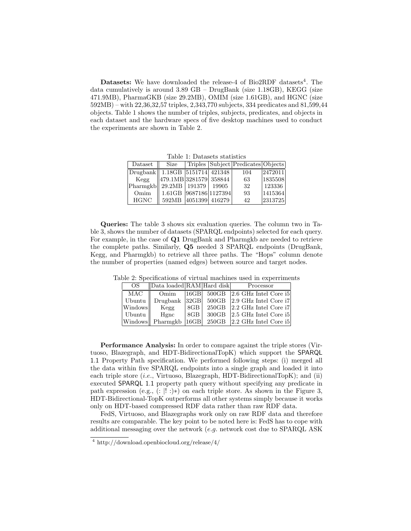**Datasets:** We have downloaded the release-4 of Bio2RDF datasets<sup>4</sup>. The data cumulatively is around 3.89 GB – DrugBank (size 1.18GB), KEGG (size 471.9MB), PharmaGKB (size 29.2MB), OMIM (size 1.61GB), and HGNC (size 592MB) – with 22,36,32,57 triples, 2,343,770 subjects, 334 predicates and 81,599,44 objects. Table 1 shows the number of triples, subjects, predicates, and objects in each dataset and the hardware specs of five desktop machines used to conduct the experiments are shown in Table 2.

Table 1: Datasets statistics

| Dataset                              | Size                   |                      | Triples Subject Predicates Objects |         |
|--------------------------------------|------------------------|----------------------|------------------------------------|---------|
| Drugbank   1.18GB   5151714   421348 |                        |                      | 104                                | 2472011 |
| Kegg                                 | 479.1MB 3281579 358844 |                      | 63                                 | 1835508 |
| Pharmgkb   29.2MB   191379   19905   |                        |                      | 32                                 | 123336  |
| Omim                                 | 1.61GB 9687186 1127394 |                      | 93                                 | 1415364 |
| <b>HGNC</b>                          |                        | 592MB 4051399 416279 | 42                                 | 2313725 |

Queries: The table 3 shows six evaluation queries. The column two in Table 3, shows the number of datasets (SPARQL endpoints) selected for each query. For example, in the case of Q1 DrugBank and Pharmgkb are needed to retrieve the complete paths. Similarly, Q5 needed 3 SPARQL endpoints (DrugBank, Kegg, and Pharmgkb) to retrieve all three paths. The "Hops" column denote the number of properties (named edges) between source and target nodes.

Table 2: Specifications of virtual machines used in experriments

| OS.     | Data loaded RAM Hard disk |     | Processor                                       |  |  |
|---------|---------------------------|-----|-------------------------------------------------|--|--|
| MAC     | Omim                      |     | $ 16GB $ 500GB $ 2.6$ GHz Intel Core i5         |  |  |
| Ubuntu  |                           |     | Drugbank   32GB   500GB   2.9 GHz Intel Core i7 |  |  |
| Windows | Kegg                      | 8GB | $250GB$ 2.2 GHz Intel Core i7                   |  |  |
| Ubuntu  | Hgnc                      | 8GB | 300GB 2.5 GHz Intel Core i5                     |  |  |
| Windows |                           |     | Pharmgkb  16GB  250GB  2.2 GHz Intel Core i5    |  |  |

Performance Analysis: In order to compare against the triple stores (Virtuoso, Blazegraph, and HDT-BidirectionalTopK) which support the SPARQL 1.1 Property Path specification. We performed following steps: (i) merged all the data within five SPARQL endpoints into a single graph and loaded it into each triple store (i.e., Virtuoso, Blazegraph, HDT-BidirectionalTopK); and (ii) executed SPARQL 1.1 property path query without specifying any predicate in path expression (e.g.,  $(:|!:)*$ ) on each triple store. As shown in the Figure 3, HDT-Bidirectional-TopK outperforms all other systems simply because it works only on HDT-based compressed RDF data rather than raw RDF data.

FedS, Virtuoso, and Blazegraphs work only on raw RDF data and therefore results are comparable. The key point to be noted here is: FedS has to cope with additional messaging over the network (e.g. network cost due to SPARQL ASK

<sup>4</sup> http://download.openbiocloud.org/release/4/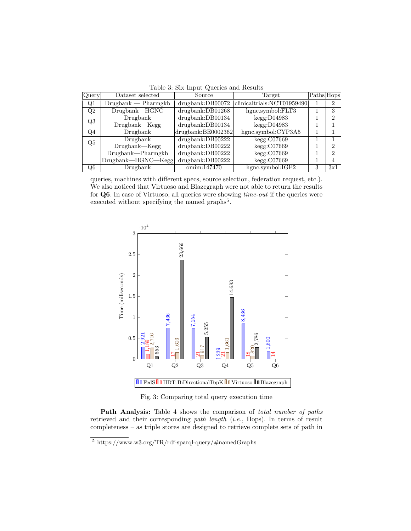| rapid of put mpac quorios and resource<br>Paths Hops |                       |                    |                            |   |                |  |  |
|------------------------------------------------------|-----------------------|--------------------|----------------------------|---|----------------|--|--|
| Query                                                | Dataset selected      | Source             | Target                     |   |                |  |  |
| Q1                                                   | $Drugbank - Pharmgkb$ | drugbank:DB00072   | clinicaltrials:NCT01959490 |   | $\overline{2}$ |  |  |
| Q2                                                   | $Drugbank-HGNC$       | drugbank:DB01268   | hgnc.symbol:FLT3           |   | 3              |  |  |
| Q <sub>3</sub>                                       | Drugbank              | drugbank:DB00134   | $kegg:$ D04983             |   | $\mathfrak{D}$ |  |  |
|                                                      | Drugbank-Kegg         | drugbank:DB00134   | $kegg:$ D04983             |   |                |  |  |
| $Q_4$                                                | Drugbank              | drugbank:BE0002362 | hgnc.symbol:CYP3A5         |   |                |  |  |
| Q5                                                   | Drugbank              | drugbank:DB00222   | kegg:CO7669                |   |                |  |  |
|                                                      | $Drugbank - Kegg$     | drugbank:DB00222   | kegg:CO7669                |   | 2              |  |  |
|                                                      | Drugbank—Pharmgkb     | drugbank:DB00222   | kegg:CO7669                |   | 2              |  |  |
|                                                      | Drugbank-HGNC-Kegg    | drugbank:DB00222   | kegg:CO7669                |   | 4              |  |  |
| Q6                                                   | Drugbank              | omim:147470        | hgnc.symbol:IGF2           | 3 | 3x1            |  |  |

Table 3: Six Input Queries and Results

queries, machines with different specs, source selection, federation request, etc.). We also noticed that Virtuoso and Blazegraph were not able to return the results for Q6. In case of Virtuoso, all queries were showing time-out if the queries were executed without specifying the named graphs<sup>5</sup>.



Fig. 3: Comparing total query execution time

 $3.3 \text{ m}$  and  $4.3 \text{ m}$  and  $4.3 \text{ m}$  are designed to retrieve complete sets of path preproduces  $4.3 \text{ m}$ completeness – as triple stores are designed to retrieve complete sets of path in Path Analysis: Table 4 shows the comparison of total number of paths retrieved and their corresponding path length (i.e., Hops). In terms of result

 $\frac{1}{\sqrt{2}}$  (see  $\frac{1}{2}$  ) or  $\frac{1}{2}$  (FD  $\frac{1}{2}$  or  $\frac{1}{2}$  or  $\frac{1}{2}$  or  $\frac{1}{2}$  or  $\frac{1}{2}$  or  $\frac{1}{2}$  or  $\frac{1}{2}$  or  $\frac{1}{2}$  or  $\frac{1}{2}$  or  $\frac{1}{2}$  or  $\frac{1}{2}$  or  $\frac{1}{2}$  or  $\frac{1}{2}$  or  $\frac{1$  $^5$ https://www.w3.org/TR/rdf-sparql-query/#namedGraphs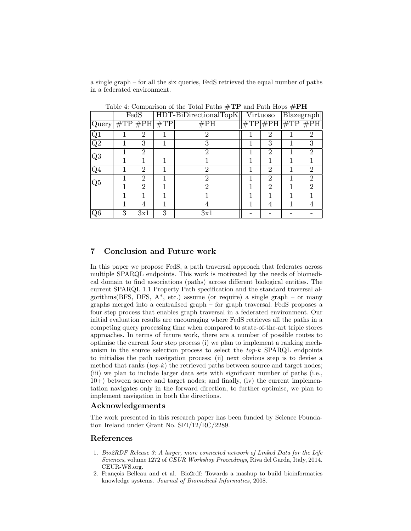a single graph – for all the six queries, FedS retrieved the equal number of paths in a federated environment.

|                                                           | FedS |               | $\vert$ HDT-BiDirectionalTopK $\vert\vert$ |     | Virtuoso       |                             | Blazegraph |            |
|-----------------------------------------------------------|------|---------------|--------------------------------------------|-----|----------------|-----------------------------|------------|------------|
| $\text{Query}$ $\ \#\text{TP}\ \#\text{PH}\  \#\text{TP}$ |      |               |                                            | #PH | $\# \text{TP}$ | $\#PH$                      | $\#TP$     | $\rm \#PH$ |
|                                                           |      | 2             |                                            | റ   |                | $\overline{2}$              |            | 2          |
| $\mathrm{Q}2$                                             |      | 3             |                                            | 3   |                | 3                           |            | 3          |
| Q3                                                        |      | 2             |                                            | ົ   |                | $\mathcal{D}_{\mathcal{L}}$ |            | ച          |
|                                                           |      |               |                                            |     |                |                             |            |            |
| Q4                                                        |      | $\mathcal{D}$ |                                            | റ   |                | $\mathcal{D}_{\mathcal{L}}$ |            | $\Omega$   |
| Q5                                                        |      | $\Omega$      |                                            | റ   |                | $\mathcal{D}_{\mathcal{L}}$ |            | റ          |
|                                                           |      | റ             |                                            |     |                | റ                           |            |            |
|                                                           |      |               |                                            |     |                |                             |            |            |
|                                                           |      |               |                                            |     |                |                             |            |            |
| Ω6                                                        | 3    | 3x1           | 3                                          | 3x1 |                |                             |            |            |

Table 4: Comparison of the Total Paths #TP and Path Hops #PH

# 7 Conclusion and Future work

In this paper we propose FedS, a path traversal approach that federates across multiple SPARQL endpoints. This work is motivated by the needs of biomedical domain to find associations (paths) across different biological entities. The current SPARQL 1.1 Property Path specification and the standard traversal algorithms(BFS, DFS,  $A^*$ , etc.) assume (or require) a single graph – or many graphs merged into a centralised graph – for graph traversal. FedS proposes a four step process that enables graph traversal in a federated environment. Our initial evaluation results are encouraging where FedS retrieves all the paths in a competing query processing time when compared to state-of-the-art triple stores approaches. In terms of future work, there are a number of possible routes to optimise the current four step process (i) we plan to implement a ranking mechanism in the source selection process to select the  $top-k$  SPARQL endpoints to initialise the path navigation process; (ii) next obvious step is to devise a method that ranks  $(top-k)$  the retrieved paths between source and target nodes; (iii) we plan to include larger data sets with significant number of paths (i.e., 10+) between source and target nodes; and finally, (iv) the current implementation navigates only in the forward direction, to further optimise, we plan to implement navigation in both the directions.

# Acknowledgements

The work presented in this research paper has been funded by Science Foundation Ireland under Grant No. SFI/12/RC/2289.

#### References

- 1. Bio2RDF Release 3: A larger, more connected network of Linked Data for the Life Sciences, volume 1272 of CEUR Workshop Proceedings, Riva del Garda, Italy, 2014. CEUR-WS.org.
- 2. François Belleau and et al. Bio2rdf: Towards a mashup to build bioinformatics knowledge systems. Journal of Biomedical Informatics, 2008.